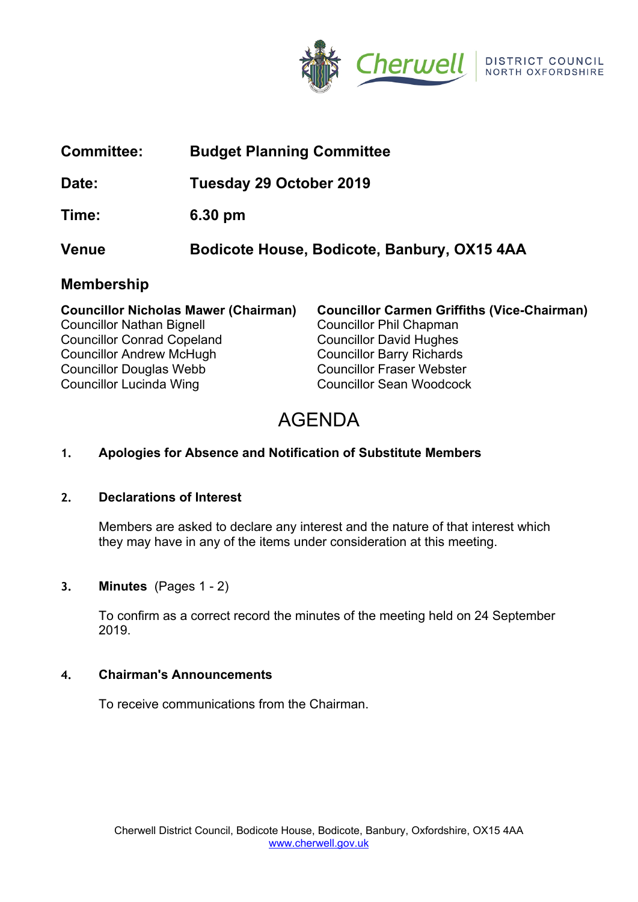

| <b>Committee:</b>                                                               | <b>Budget Planning Committee</b>            |                                                                                      |
|---------------------------------------------------------------------------------|---------------------------------------------|--------------------------------------------------------------------------------------|
| Date:                                                                           | Tuesday 29 October 2019                     |                                                                                      |
| Time:                                                                           | $6.30 \text{ pm}$                           |                                                                                      |
| Venue                                                                           | Bodicote House, Bodicote, Banbury, OX15 4AA |                                                                                      |
| <b>Membership</b>                                                               |                                             |                                                                                      |
| <b>Councillor Nicholas Mawer (Chairman)</b><br><b>Councillor Nathan Bignell</b> |                                             | <b>Councillor Carmen Griffiths (Vice-Chairman)</b><br><b>Councillor Phil Chapman</b> |

Councillor Conrad Copeland Councillor David Hughes Councillor Andrew McHugh Councillor Barry Richards Councillor Douglas Webb Councillor Fraser Webster Councillor Lucinda Wing Councillor Sean Woodcock

# AGENDA

# **1. Apologies for Absence and Notification of Substitute Members**

# **2. Declarations of Interest**

Members are asked to declare any interest and the nature of that interest which they may have in any of the items under consideration at this meeting.

# **3. Minutes** (Pages 1 - 2)

To confirm as a correct record the minutes of the meeting held on 24 September 2019.

# **4. Chairman's Announcements**

To receive communications from the Chairman.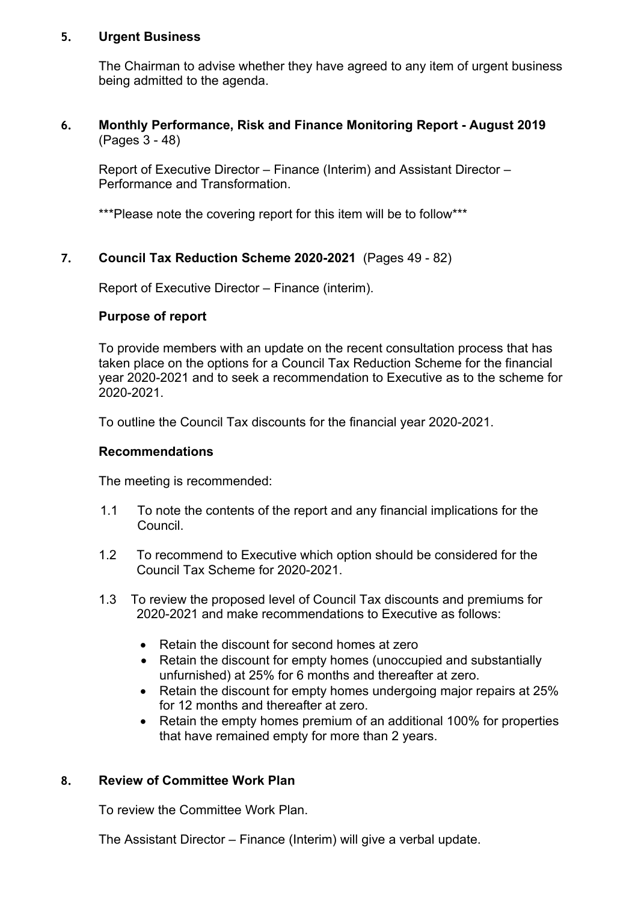#### **5. Urgent Business**

The Chairman to advise whether they have agreed to any item of urgent business being admitted to the agenda.

#### **6. Monthly Performance, Risk and Finance Monitoring Report - August 2019**  (Pages 3 - 48)

Report of Executive Director – Finance (Interim) and Assistant Director – Performance and Transformation.

\*\*\*Please note the covering report for this item will be to follow\*\*\*

#### **7. Council Tax Reduction Scheme 2020-2021** (Pages 49 - 82)

Report of Executive Director – Finance (interim).

#### **Purpose of report**

To provide members with an update on the recent consultation process that has taken place on the options for a Council Tax Reduction Scheme for the financial year 2020-2021 and to seek a recommendation to Executive as to the scheme for 2020-2021.

To outline the Council Tax discounts for the financial year 2020-2021.

#### **Recommendations**

The meeting is recommended:

- 1.1 To note the contents of the report and any financial implications for the Council.
- 1.2 To recommend to Executive which option should be considered for the Council Tax Scheme for 2020-2021.
- 1.3 To review the proposed level of Council Tax discounts and premiums for 2020-2021 and make recommendations to Executive as follows:
	- Retain the discount for second homes at zero
	- Retain the discount for empty homes (unoccupied and substantially unfurnished) at 25% for 6 months and thereafter at zero.
	- Retain the discount for empty homes undergoing major repairs at 25% for 12 months and thereafter at zero.
	- Retain the empty homes premium of an additional 100% for properties that have remained empty for more than 2 years.

#### **8. Review of Committee Work Plan**

To review the Committee Work Plan.

The Assistant Director – Finance (Interim) will give a verbal update.